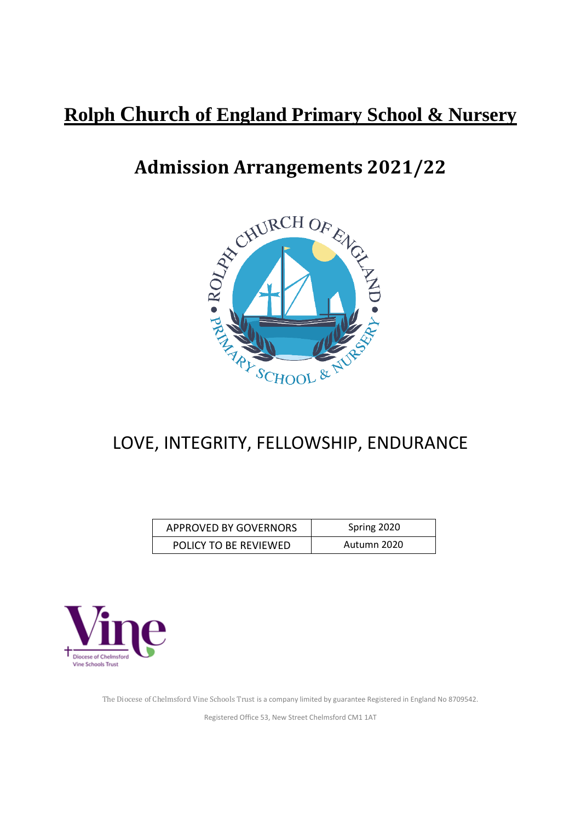# **Rolph Church of England Primary School & Nursery**



# LOVE, INTEGRITY, FELLOWSHIP, ENDURANCE

| <b>APPROVED BY GOVERNORS</b> | Spring 2020 |
|------------------------------|-------------|
| POLICY TO BE REVIEWED        | Autumn 2020 |



The Diocese of Chelmsford Vine Schools Trust is a company limited by guarantee Registered in England No 8709542.

Registered Office 53, New Street Chelmsford CM1 1AT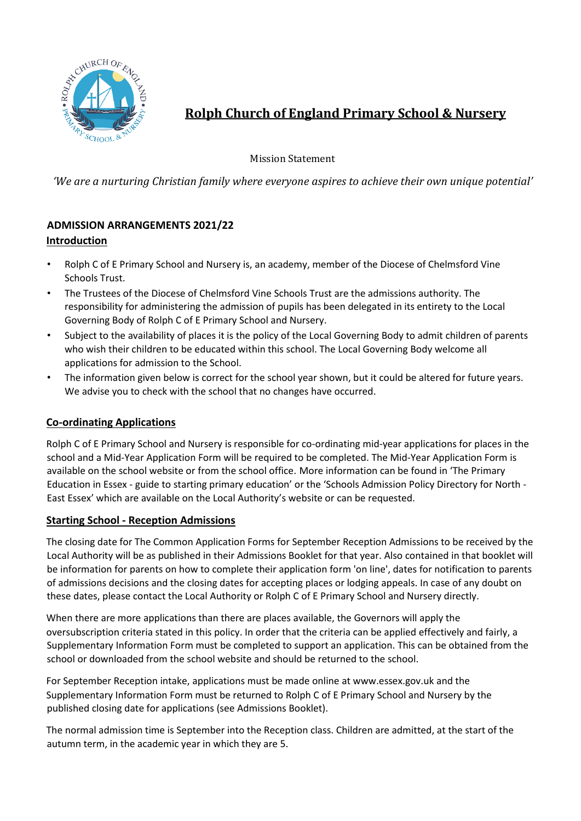

**Rolph Church of England Primary School & Nursery**

Mission Statement

*'We are a nurturing Christian family where everyone aspires to achieve their own unique potential'*

# **ADMISSION ARRANGEMENTS 2021/22 Introduction**

- Rolph C of E Primary School and Nursery is, an academy, member of the Diocese of Chelmsford Vine Schools Trust.
- The Trustees of the Diocese of Chelmsford Vine Schools Trust are the admissions authority. The responsibility for administering the admission of pupils has been delegated in its entirety to the Local Governing Body of Rolph C of E Primary School and Nursery.
- Subject to the availability of places it is the policy of the Local Governing Body to admit children of parents who wish their children to be educated within this school. The Local Governing Body welcome all applications for admission to the School.
- The information given below is correct for the school year shown, but it could be altered for future years. We advise you to check with the school that no changes have occurred.

# **Co-ordinating Applications**

Rolph C of E Primary School and Nursery is responsible for co-ordinating mid-year applications for places in the school and a Mid-Year Application Form will be required to be completed. The Mid-Year Application Form is available on the school website or from the school office. More information can be found in 'The Primary Education in Essex - guide to starting primary education' or the 'Schools Admission Policy Directory for North - East Essex' which are available on the Local Authority's website or can be requested.

# **Starting School - Reception Admissions**

The closing date for The Common Application Forms for September Reception Admissions to be received by the Local Authority will be as published in their Admissions Booklet for that year. Also contained in that booklet will be information for parents on how to complete their application form 'on line', dates for notification to parents of admissions decisions and the closing dates for accepting places or lodging appeals. In case of any doubt on these dates, please contact the Local Authority or Rolph C of E Primary School and Nursery directly.

When there are more applications than there are places available, the Governors will apply the oversubscription criteria stated in this policy. In order that the criteria can be applied effectively and fairly, a Supplementary Information Form must be completed to support an application. This can be obtained from the school or downloaded from the school website and should be returned to the school.

For September Reception intake, applications must be made online at www.essex.gov.uk and the Supplementary Information Form must be returned to Rolph C of E Primary School and Nursery by the published closing date for applications (see Admissions Booklet).

The normal admission time is September into the Reception class. Children are admitted, at the start of the autumn term, in the academic year in which they are 5.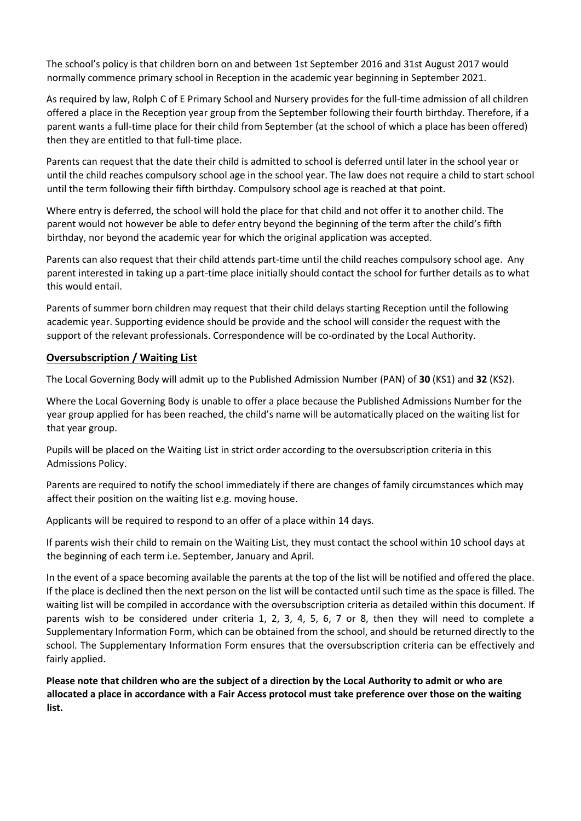The school's policy is that children born on and between 1st September 2016 and 31st August 2017 would normally commence primary school in Reception in the academic year beginning in September 2021.

As required by law, Rolph C of E Primary School and Nursery provides for the full-time admission of all children offered a place in the Reception year group from the September following their fourth birthday. Therefore, if a parent wants a full-time place for their child from September (at the school of which a place has been offered) then they are entitled to that full-time place.

Parents can request that the date their child is admitted to school is deferred until later in the school year or until the child reaches compulsory school age in the school year. The law does not require a child to start school until the term following their fifth birthday. Compulsory school age is reached at that point.

Where entry is deferred, the school will hold the place for that child and not offer it to another child. The parent would not however be able to defer entry beyond the beginning of the term after the child's fifth birthday, nor beyond the academic year for which the original application was accepted.

Parents can also request that their child attends part-time until the child reaches compulsory school age. Any parent interested in taking up a part-time place initially should contact the school for further details as to what this would entail.

Parents of summer born children may request that their child delays starting Reception until the following academic year. Supporting evidence should be provide and the school will consider the request with the support of the relevant professionals. Correspondence will be co-ordinated by the Local Authority.

### **Oversubscription / Waiting List**

The Local Governing Body will admit up to the Published Admission Number (PAN) of **30** (KS1) and **32** (KS2).

Where the Local Governing Body is unable to offer a place because the Published Admissions Number for the year group applied for has been reached, the child's name will be automatically placed on the waiting list for that year group.

Pupils will be placed on the Waiting List in strict order according to the oversubscription criteria in this Admissions Policy.

Parents are required to notify the school immediately if there are changes of family circumstances which may affect their position on the waiting list e.g. moving house.

Applicants will be required to respond to an offer of a place within 14 days.

If parents wish their child to remain on the Waiting List, they must contact the school within 10 school days at the beginning of each term i.e. September, January and April.

In the event of a space becoming available the parents at the top of the list will be notified and offered the place. If the place is declined then the next person on the list will be contacted until such time as the space is filled. The waiting list will be compiled in accordance with the oversubscription criteria as detailed within this document. If parents wish to be considered under criteria 1, 2, 3, 4, 5, 6, 7 or 8, then they will need to complete a Supplementary Information Form, which can be obtained from the school, and should be returned directly to the school. The Supplementary Information Form ensures that the oversubscription criteria can be effectively and fairly applied.

**Please note that children who are the subject of a direction by the Local Authority to admit or who are allocated a place in accordance with a Fair Access protocol must take preference over those on the waiting list.**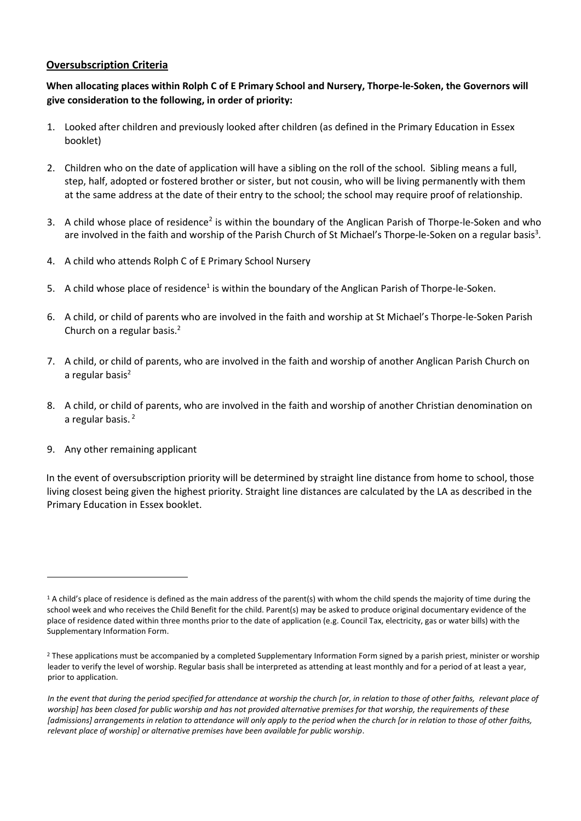#### **Oversubscription Criteria**

### **When allocating places within Rolph C of E Primary School and Nursery, Thorpe-le-Soken, the Governors will give consideration to the following, in order of priority:**

- 1. Looked after children and previously looked after children (as defined in the Primary Education in Essex booklet)
- 2. Children who on the date of application will have a sibling on the roll of the school. Sibling means a full, step, half, adopted or fostered brother or sister, but not cousin, who will be living permanently with them at the same address at the date of their entry to the school; the school may require proof of relationship.
- 3. A child whose place of residence<sup>2</sup> is within the boundary of the Anglican Parish of Thorpe-le-Soken and who are involved in the faith and worship of the Parish Church of St Michael's Thorpe-le-Soken on a regular basis<sup>3</sup>.
- 4. A child who attends Rolph C of E Primary School Nursery
- 5. A child whose place of residence<sup>1</sup> is within the boundary of the Anglican Parish of Thorpe-le-Soken.
- 6. A child, or child of parents who are involved in the faith and worship at St Michael's Thorpe-le-Soken Parish Church on a regular basis.<sup>2</sup>
- 7. A child, or child of parents, who are involved in the faith and worship of another Anglican Parish Church on a regular basis $2$
- 8. A child, or child of parents, who are involved in the faith and worship of another Christian denomination on a regular basis.<sup>2</sup>
- 9. Any other remaining applicant

 $\ddot{\phantom{a}}$ 

In the event of oversubscription priority will be determined by straight line distance from home to school, those living closest being given the highest priority. Straight line distances are calculated by the LA as described in the Primary Education in Essex booklet.

 $1$  A child's place of residence is defined as the main address of the parent(s) with whom the child spends the majority of time during the school week and who receives the Child Benefit for the child. Parent(s) may be asked to produce original documentary evidence of the place of residence dated within three months prior to the date of application (e.g. Council Tax, electricity, gas or water bills) with the Supplementary Information Form.

<sup>&</sup>lt;sup>2</sup> These applications must be accompanied by a completed Supplementary Information Form signed by a parish priest, minister or worship leader to verify the level of worship. Regular basis shall be interpreted as attending at least monthly and for a period of at least a year, prior to application.

*In the event that during the period specified for attendance at worship the church [or, in relation to those of other faiths, relevant place of worship] has been closed for public worship and has not provided alternative premises for that worship, the requirements of these [admissions] arrangements in relation to attendance will only apply to the period when the church [or in relation to those of other faiths, relevant place of worship] or alternative premises have been available for public worship*.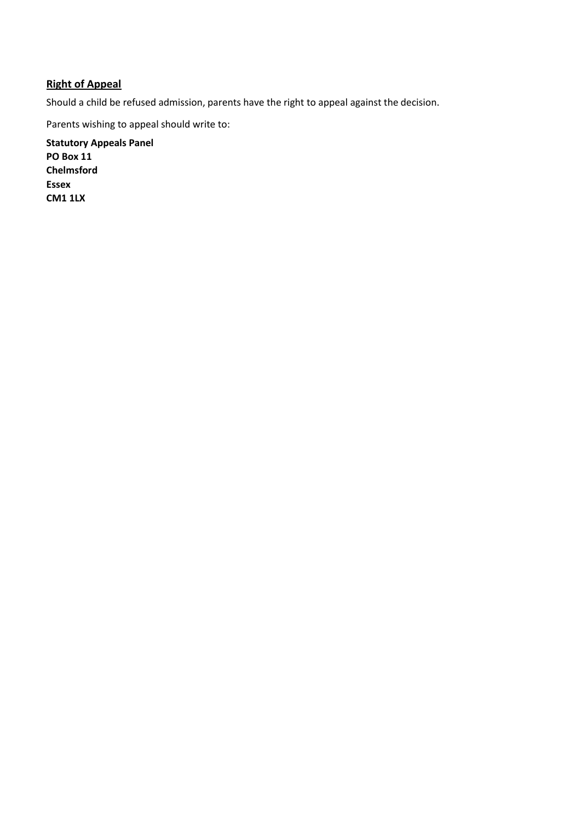# **Right of Appeal**

Should a child be refused admission, parents have the right to appeal against the decision.

Parents wishing to appeal should write to:

**Statutory Appeals Panel PO Box 11 Chelmsford Essex CM1 1LX**